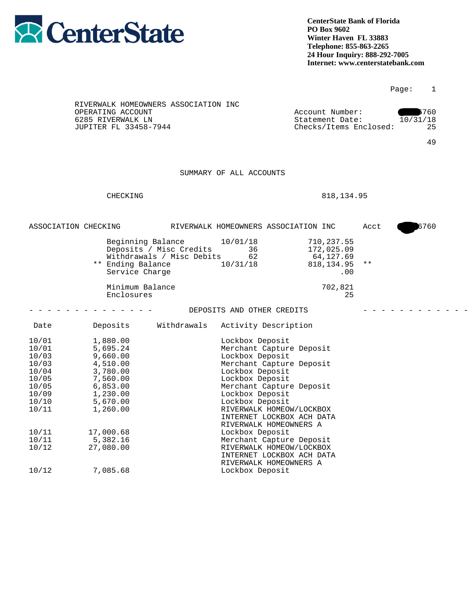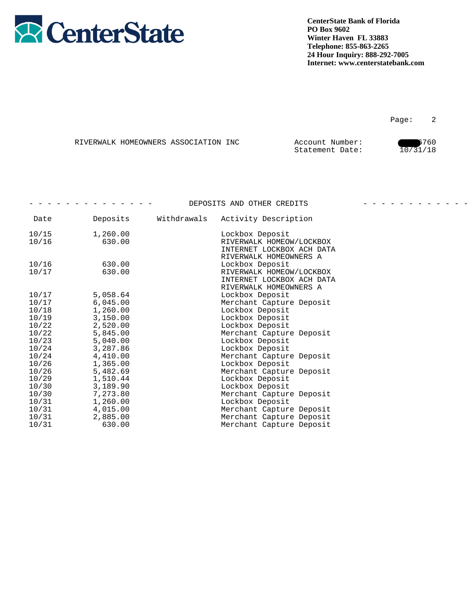

|  | RIVERWALK HOMEOWNERS ASSOCIATION INC | Account Number: | 6760     |
|--|--------------------------------------|-----------------|----------|
|  |                                      | Statement Date: | 10/31/18 |

|                       |          |             | DEPOSITS AND OTHER CREDITS |  |
|-----------------------|----------|-------------|----------------------------|--|
| Date                  | Deposits | Withdrawals | Activity Description       |  |
| 10/15                 | 1,260.00 |             | Lockbox Deposit            |  |
| 10/16                 | 630.00   |             | RIVERWALK HOMEOW/LOCKBOX   |  |
|                       |          |             | INTERNET LOCKBOX ACH DATA  |  |
|                       |          |             | RIVERWALK HOMEOWNERS A     |  |
| 10/16                 | 630.00   |             | Lockbox Deposit            |  |
| 10/17                 | 630.00   |             | RIVERWALK HOMEOW/LOCKBOX   |  |
|                       |          |             | INTERNET LOCKBOX ACH DATA  |  |
|                       |          |             | RIVERWALK HOMEOWNERS A     |  |
| 10/17                 | 5,058.64 |             | Lockbox Deposit            |  |
| $\frac{10/17}{10/18}$ | 6,045.00 |             | Merchant Capture Deposit   |  |
|                       | 1,260.00 |             | Lockbox Deposit            |  |
| 10/19                 | 3,150.00 |             | Lockbox Deposit            |  |
| 10/22                 | 2,520.00 |             | Lockbox Deposit            |  |
| 10/22                 | 5,845.00 |             | Merchant Capture Deposit   |  |
| 10/23                 | 5,040.00 |             | Lockbox Deposit            |  |
| 10/24                 | 3,287.86 |             | Lockbox Deposit            |  |
| 10/24                 | 4,410.00 |             | Merchant Capture Deposit   |  |
| 10/26                 | 1,365.00 |             | Lockbox Deposit            |  |
| $\frac{10/26}{10/29}$ | 5,482.69 |             | Merchant Capture Deposit   |  |
|                       | 1,510.44 |             | Lockbox Deposit            |  |
| 10/30                 | 3,189.90 |             | Lockbox Deposit            |  |
| 10/30                 | 7,273.80 |             | Merchant Capture Deposit   |  |
| 10/31                 | 1,260.00 |             | Lockbox Deposit            |  |
| 10/31                 | 4,015.00 |             | Merchant Capture Deposit   |  |
| 10/31                 | 2,885.00 |             | Merchant Capture Deposit   |  |
| 10/31                 | 630.00   |             | Merchant Capture Deposit   |  |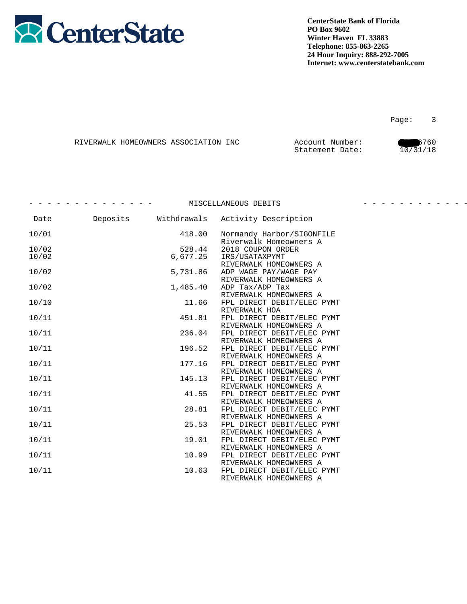

|  | RIVERWALK HOMEOWNERS ASSOCIATION INC | Account Number: | 6760     |
|--|--------------------------------------|-----------------|----------|
|  |                                      | Statement Date: | 10/31/18 |

|       |          |             | MISCELLANEOUS DEBITS                                 |  |
|-------|----------|-------------|------------------------------------------------------|--|
| Date  | Deposits | Withdrawals | Activity Description                                 |  |
| 10/01 |          | 418.00      | Normandy Harbor/SIGONFILE<br>Riverwalk Homeowners A  |  |
| 10/02 |          | 528.44      | 2018 COUPON ORDER                                    |  |
| 10/02 |          | 6,677.25    | IRS/USATAXPYMT                                       |  |
|       |          |             | RIVERWALK HOMEOWNERS A                               |  |
| 10/02 |          | 5,731.86    | ADP WAGE PAY/WAGE PAY                                |  |
|       |          |             | RIVERWALK HOMEOWNERS A                               |  |
| 10/02 |          | 1,485.40    | ADP Tax/ADP Tax                                      |  |
|       |          |             | RIVERWALK HOMEOWNERS A                               |  |
| 10/10 |          | 11.66       | FPL DIRECT DEBIT/ELEC PYMT                           |  |
|       |          | 451.81      | RIVERWALK HOA                                        |  |
| 10/11 |          |             | FPL DIRECT DEBIT/ELEC PYMT<br>RIVERWALK HOMEOWNERS A |  |
| 10/11 |          | 236.04      | FPL DIRECT DEBIT/ELEC PYMT                           |  |
|       |          |             | RIVERWALK HOMEOWNERS A                               |  |
| 10/11 |          | 196.52      | FPL DIRECT DEBIT/ELEC PYMT                           |  |
|       |          |             | RIVERWALK HOMEOWNERS A                               |  |
| 10/11 |          | 177.16      | FPL DIRECT DEBIT/ELEC PYMT                           |  |
|       |          |             | RIVERWALK HOMEOWNERS A                               |  |
| 10/11 |          | 145.13      | FPL DIRECT DEBIT/ELEC PYMT                           |  |
|       |          |             | RIVERWALK HOMEOWNERS A                               |  |
| 10/11 |          | 41.55       | FPL DIRECT DEBIT/ELEC PYMT                           |  |
|       |          |             | RIVERWALK HOMEOWNERS A                               |  |
| 10/11 |          | 28.81       | FPL DIRECT DEBIT/ELEC PYMT                           |  |
|       |          |             | RIVERWALK HOMEOWNERS A                               |  |
| 10/11 |          | 25.53       | FPL DIRECT DEBIT/ELEC PYMT                           |  |
|       |          |             | RIVERWALK HOMEOWNERS A                               |  |
| 10/11 |          | 19.01       | FPL DIRECT DEBIT/ELEC PYMT<br>RIVERWALK HOMEOWNERS A |  |
| 10/11 |          | 10.99       | FPL DIRECT DEBIT/ELEC PYMT                           |  |
|       |          |             | RIVERWALK HOMEOWNERS A                               |  |
| 10/11 |          | 10.63       | FPL DIRECT DEBIT/ELEC PYMT                           |  |
|       |          |             | RIVERWALK HOMEOWNERS A                               |  |
|       |          |             |                                                      |  |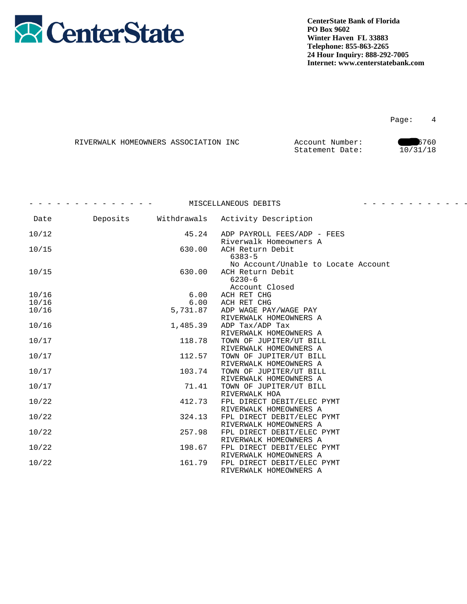

|  | RIVERWALK HOMEOWNERS ASSOCIATION INC | Account Number: | 6760     |
|--|--------------------------------------|-----------------|----------|
|  |                                      | Statement Date: | 10/31/18 |

|       |          | MISCELLANEOUS DEBITS                                                  |  |
|-------|----------|-----------------------------------------------------------------------|--|
| Date  |          | Deposits Withdrawals Activity Description                             |  |
| 10/12 | 45.24    | ADP PAYROLL FEES/ADP - FEES<br>Riverwalk Homeowners A                 |  |
| 10/15 | 630.00   | ACH Return Debit<br>$6383 - 5$<br>No Account/Unable to Locate Account |  |
| 10/15 | 630.00   | ACH Return Debit<br>$6230 - 6$<br>Account Closed                      |  |
| 10/16 | 6.00     | ACH RET CHG                                                           |  |
| 10/16 | 6.00     | ACH RET CHG                                                           |  |
| 10/16 | 5,731.87 | ADP WAGE PAY/WAGE PAY<br>RIVERWALK HOMEOWNERS A                       |  |
| 10/16 | 1,485.39 | ADP Tax/ADP Tax<br>RIVERWALK HOMEOWNERS A                             |  |
| 10/17 | 118.78   | TOWN OF JUPITER/UT BILL<br>RIVERWALK HOMEOWNERS A                     |  |
| 10/17 | 112.57   | TOWN OF JUPITER/UT BILL<br>RIVERWALK HOMEOWNERS A                     |  |
| 10/17 | 103.74   | TOWN OF JUPITER/UT BILL<br>RIVERWALK HOMEOWNERS A                     |  |
| 10/17 | 71.41    | TOWN OF JUPITER/UT BILL<br>RIVERWALK HOA                              |  |
| 10/22 | 412.73   | FPL DIRECT DEBIT/ELEC PYMT<br>RIVERWALK HOMEOWNERS A                  |  |
| 10/22 | 324.13   | FPL DIRECT DEBIT/ELEC PYMT<br>RIVERWALK HOMEOWNERS A                  |  |
| 10/22 | 257.98   | FPL DIRECT DEBIT/ELEC PYMT<br>RIVERWALK HOMEOWNERS A                  |  |
| 10/22 | 198.67   | FPL DIRECT DEBIT/ELEC PYMT<br>RIVERWALK HOMEOWNERS A                  |  |
| 10/22 | 161.79   | FPL DIRECT DEBIT/ELEC PYMT<br>RIVERWALK HOMEOWNERS A                  |  |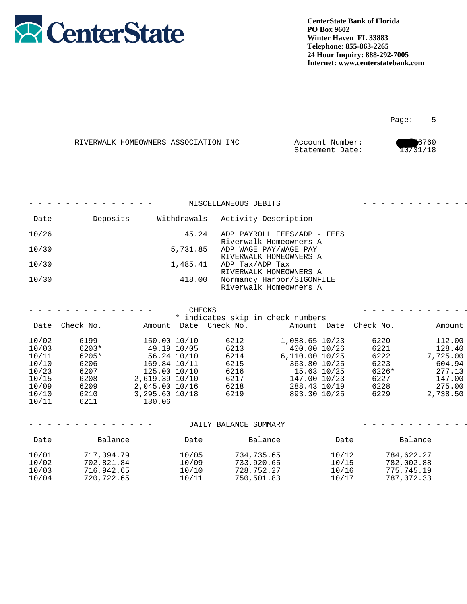

|  | RIVERWALK HOMEOWNERS ASSOCIATION INC | Account Number: | 6760     |
|--|--------------------------------------|-----------------|----------|
|  |                                      | Statement Date: | 10/31/18 |

|                | - - - - - - - - - - - - - - - |                                  |              | MISCELLANEOUS DEBITS |                                                            |              | - - - - - - - - - - - - <b>-</b> |
|----------------|-------------------------------|----------------------------------|--------------|----------------------|------------------------------------------------------------|--------------|----------------------------------|
| Date           | Deposits                      |                                  | Withdrawals  |                      | Activity Description                                       |              |                                  |
| 10/26          |                               |                                  | 45.24        |                      | ADP PAYROLL FEES/ADP - FEES<br>Riverwalk Homeowners A      |              |                                  |
| 10/30          |                               |                                  | 5,731.85     |                      | ADP WAGE PAY/WAGE PAY<br>RIVERWALK HOMEOWNERS A            |              |                                  |
| 10/30          |                               |                                  | 1,485.41     |                      | ADP Tax/ADP Tax<br>RIVERWALK HOMEOWNERS A                  |              |                                  |
| 10/30          |                               |                                  | 418.00       |                      | Normandy Harbor/SIGONFILE<br>Riverwalk Homeowners A        |              |                                  |
|                |                               |                                  |              |                      |                                                            |              |                                  |
|                | - - - - - - - - - - - - - - - |                                  |              | CHECKS               |                                                            |              | - - - - - - - - - - - -          |
|                | Date Check No.                | Amount                           | Date         | Check No.            | * indicates skip in check numbers<br>Amount Date Check No. |              | Amount                           |
| 10/02          | 6199                          |                                  | 150.00 10/10 | 6212                 | 1,088.65 10/23                                             | 6220         | 112.00                           |
| 10/03          | 6203*                         |                                  | 49.19 10/05  | 6213                 | 400.00 10/26                                               | 6221         | 128.40                           |
| 10/11          | 6205*                         |                                  | 56.24 10/10  | 6214                 | 6,110.00 10/25                                             | 6222         | 7,725.00                         |
| 10/10          | 6206                          | 169.84 10/11                     |              | 6215                 | 363.80 10/25                                               | 6223         | 604.94                           |
| 10/23          | 6207                          |                                  | 125.00 10/10 | 6216                 | 15.63 10/25                                                | 6226*        | 277.13                           |
| 10/15          | 6208                          | 2,619.39 10/10                   |              | 6217                 | 147.00 10/23                                               | 6227         | 147.00                           |
| 10/09<br>10/10 | 6209<br>6210                  | 2,045.00 10/16<br>3,295.60 10/18 |              | 6218<br>6219         | 288.43 10/19<br>893.30 10/25                               | 6228<br>6229 | 275.00<br>2,738.50               |
| 10/11          | 6211                          | 130.06                           |              |                      |                                                            |              |                                  |

|                                  |                                                      |                                  | DAILY BALANCE SUMMARY                                |                                  |                                                      |
|----------------------------------|------------------------------------------------------|----------------------------------|------------------------------------------------------|----------------------------------|------------------------------------------------------|
| Date                             | Balance                                              | Date                             | Balance                                              | Date                             | Balance                                              |
| 10/01<br>10/02<br>10/03<br>10/04 | 717,394.79<br>702,821.84<br>716,942.65<br>720,722.65 | 10/05<br>10/09<br>10/10<br>10/11 | 734,735.65<br>733,920.65<br>728,752.27<br>750,501.83 | 10/12<br>10/15<br>10/16<br>10/17 | 784,622.27<br>782,002.88<br>775,745.19<br>787,072.33 |